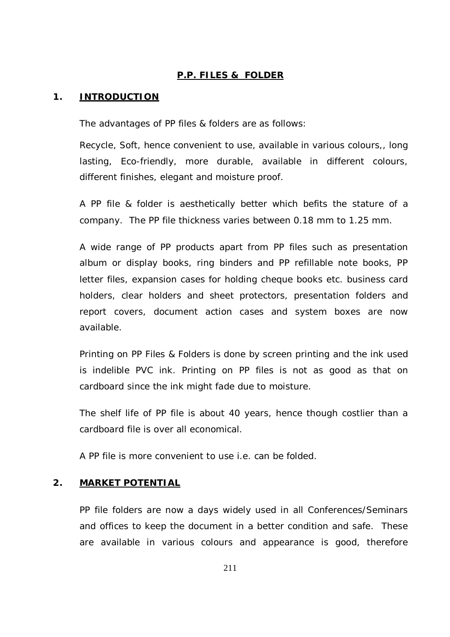### **P.P. FILES & FOLDER**

#### **1. INTRODUCTION**

The advantages of PP files & folders are as follows:

Recycle, Soft, hence convenient to use, available in various colours,, long lasting, Eco-friendly, more durable, available in different colours, different finishes, elegant and moisture proof.

A PP file & folder is aesthetically better which befits the stature of a company. The PP file thickness varies between 0.18 mm to 1.25 mm.

A wide range of PP products apart from PP files such as presentation album or display books, ring binders and PP refillable note books, PP letter files, expansion cases for holding cheque books etc. business card holders, clear holders and sheet protectors, presentation folders and report covers, document action cases and system boxes are now available.

Printing on PP Files & Folders is done by screen printing and the ink used is indelible PVC ink. Printing on PP files is not as good as that on cardboard since the ink might fade due to moisture.

The shelf life of PP file is about 40 years, hence though costlier than a cardboard file is over all economical.

A PP file is more convenient to use i.e. can be folded.

#### **2. MARKET POTENTIAL**

PP file folders are now a days widely used in all Conferences/Seminars and offices to keep the document in a better condition and safe. These are available in various colours and appearance is good, therefore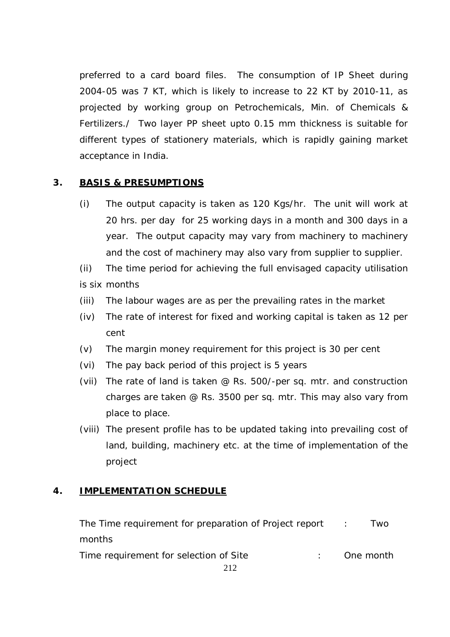preferred to a card board files. The consumption of IP Sheet during 2004-05 was 7 KT, which is likely to increase to 22 KT by 2010-11, as projected by working group on Petrochemicals, Min. of Chemicals & Fertilizers./ Two layer PP sheet upto 0.15 mm thickness is suitable for different types of stationery materials, which is rapidly gaining market acceptance in India.

## **3. BASIS & PRESUMPTIONS**

(i) The output capacity is taken as 120 Kgs/hr. The unit will work at 20 hrs. per day for 25 working days in a month and 300 days in a year. The output capacity may vary from machinery to machinery and the cost of machinery may also vary from supplier to supplier.

(ii) The time period for achieving the full envisaged capacity utilisation is six months

- (iii) The labour wages are as per the prevailing rates in the market
- (iv) The rate of interest for fixed and working capital is taken as 12 per cent
- (v) The margin money requirement for this project is 30 per cent
- (vi) The pay back period of this project is 5 years
- (vii) The rate of land is taken @ Rs. 500/-per sq. mtr. and construction charges are taken @ Rs. 3500 per sq. mtr. This may also vary from place to place.
- (viii) The present profile has to be updated taking into prevailing cost of land, building, machinery etc. at the time of implementation of the project

## **4. IMPLEMENTATION SCHEDULE**

| The Time requirement for preparation of Project report : | I wo      |
|----------------------------------------------------------|-----------|
| months                                                   |           |
| Time requirement for selection of Site                   | One month |
|                                                          |           |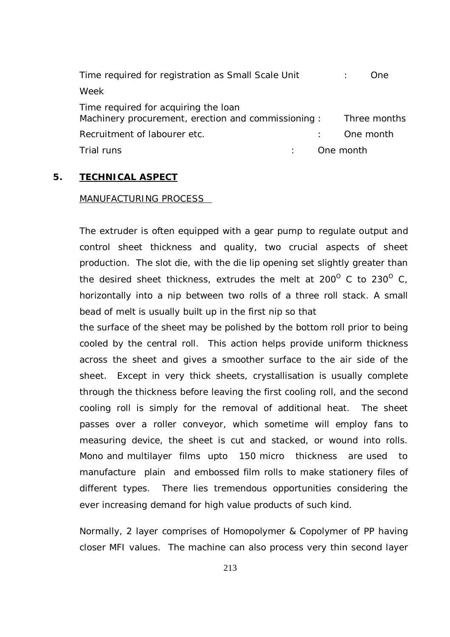| Time required for registration as Small Scale Unit                                         | One.         |
|--------------------------------------------------------------------------------------------|--------------|
| Week                                                                                       |              |
| Time required for acquiring the loan<br>Machinery procurement, erection and commissioning: | Three months |
| Recruitment of labourer etc.                                                               | One month    |
| Trial runs                                                                                 | One month    |

#### **5. TECHNICAL ASPECT**

#### MANUFACTURING PROCESS

The extruder is often equipped with a gear pump to regulate output and control sheet thickness and quality, two crucial aspects of sheet production. The slot die, with the die lip opening set slightly greater than the desired sheet thickness, extrudes the melt at  $200^{\circ}$  C to  $230^{\circ}$  C, horizontally into a nip between two rolls of a three roll stack. A small bead of melt is usually built up in the first nip so that

the surface of the sheet may be polished by the bottom roll prior to being cooled by the central roll. This action helps provide uniform thickness across the sheet and gives a smoother surface to the air side of the sheet. Except in very thick sheets, crystallisation is usually complete through the thickness before leaving the first cooling roll, and the second cooling roll is simply for the removal of additional heat. The sheet passes over a roller conveyor, which sometime will employ fans to measuring device, the sheet is cut and stacked, or wound into rolls. Mono and multilayer films upto 150 micro thickness are used to manufacture plain and embossed film rolls to make stationery files of different types. There lies tremendous opportunities considering the ever increasing demand for high value products of such kind.

Normally, 2 layer comprises of Homopolymer & Copolymer of PP having closer MFI values. The machine can also process very thin second layer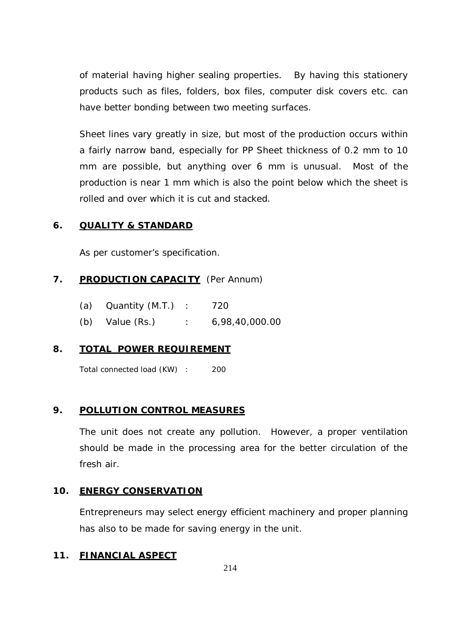of material having higher sealing properties. By having this stationery products such as files, folders, box files, computer disk covers etc. can have better bonding between two meeting surfaces.

Sheet lines vary greatly in size, but most of the production occurs within a fairly narrow band, especially for PP Sheet thickness of 0.2 mm to 10 mm are possible, but anything over 6 mm is unusual. Most of the production is near 1 mm which is also the point below which the sheet is rolled and over which it is cut and stacked.

### **6. QUALITY & STANDARD**

As per customer's specification.

## **7. PRODUCTION CAPACITY** (Per Annum)

| (a)<br>Quantity (M.T.) |  |  | 720 |  |
|------------------------|--|--|-----|--|
|------------------------|--|--|-----|--|

(b) Value (Rs.) : 6,98,40,000.00

## **8. TOTAL POWER REQUIREMENT**

Total connected load (KW) : 200

#### **9. POLLUTION CONTROL MEASURES**

The unit does not create any pollution. However, a proper ventilation should be made in the processing area for the better circulation of the fresh air.

#### **10. ENERGY CONSERVATION**

Entrepreneurs may select energy efficient machinery and proper planning has also to be made for saving energy in the unit.

#### **11. FINANCIAL ASPECT**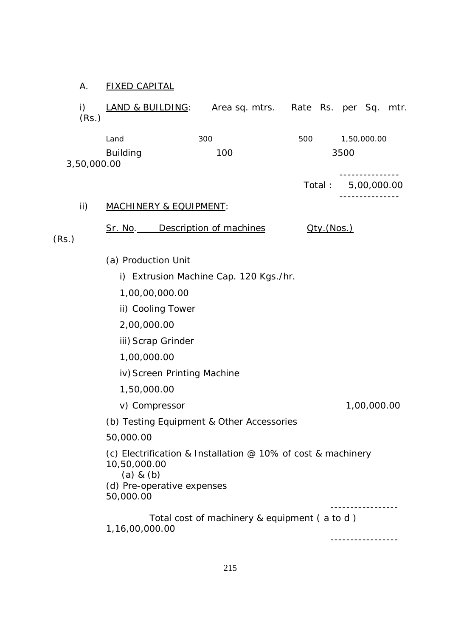## A. FIXED CAPITAL

| i)<br>(Rs.) | LAND & BUILDING: Area sq. mtrs. Rate Rs. per Sq.                                                                                         |                                              |            | mtr.                                 |
|-------------|------------------------------------------------------------------------------------------------------------------------------------------|----------------------------------------------|------------|--------------------------------------|
|             | Land                                                                                                                                     | 300                                          | 500        | 1,50,000.00                          |
|             | <b>Building</b>                                                                                                                          | 100                                          |            | 3500                                 |
| 3,50,000.00 |                                                                                                                                          |                                              |            |                                      |
|             |                                                                                                                                          |                                              |            | Total: 5,00,000.00<br>-------------- |
| ii)         | <b>MACHINERY &amp; EQUIPMENT:</b>                                                                                                        |                                              |            |                                      |
| (Rs.)       | Sr. No. Description of machines                                                                                                          |                                              | Qty.(Nos.) |                                      |
|             | (a) Production Unit                                                                                                                      |                                              |            |                                      |
|             |                                                                                                                                          | i) Extrusion Machine Cap. 120 Kgs./hr.       |            |                                      |
|             | 1,00,00,000.00                                                                                                                           |                                              |            |                                      |
|             | ii) Cooling Tower                                                                                                                        |                                              |            |                                      |
|             | 2,00,000.00                                                                                                                              |                                              |            |                                      |
|             | iii) Scrap Grinder                                                                                                                       |                                              |            |                                      |
|             | 1,00,000.00                                                                                                                              |                                              |            |                                      |
|             | iv) Screen Printing Machine                                                                                                              |                                              |            |                                      |
|             | 1,50,000.00                                                                                                                              |                                              |            |                                      |
|             | v) Compressor                                                                                                                            |                                              |            | 1,00,000.00                          |
|             | (b) Testing Equipment & Other Accessories                                                                                                |                                              |            |                                      |
|             | 50,000.00                                                                                                                                |                                              |            |                                      |
|             | (c) Electrification & Installation @ 10% of cost & machinery<br>10,50,000.00<br>$(a)$ & $(b)$<br>(d) Pre-operative expenses<br>50,000.00 |                                              |            |                                      |
|             | 1,16,00,000.00                                                                                                                           | Total cost of machinery & equipment (a to d) |            |                                      |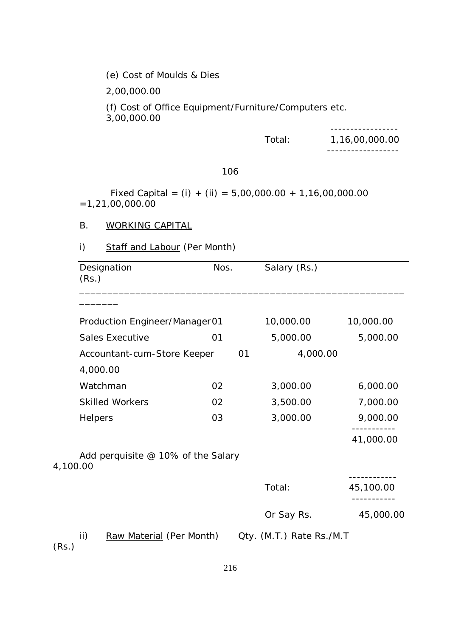(e) Cost of Moulds & Dies

2,00,000.00

(f) Cost of Office Equipment/Furniture/Computers etc. 3,00,000.00

-----------------

Total: 1,16,00,000.00

------------------

106

Fixed Capital =  $(i) + (ii) = 5,00,000.00 + 1,16,00,000.00$ =1,21,00,000.00

#### B. WORKING CAPITAL

## i) Staff and Labour (Per Month)

| Designation                                      | Nos. |    | Salary (Rs.)             |           |
|--------------------------------------------------|------|----|--------------------------|-----------|
| (Rs.)                                            |      |    |                          |           |
|                                                  |      |    |                          |           |
| Production Engineer/Manager01                    |      |    | 10,000.00                | 10,000.00 |
| <b>Sales Executive</b>                           | 01   |    | 5,000.00                 | 5,000.00  |
| Accountant-cum-Store Keeper                      |      | 01 | 4,000.00                 |           |
| 4,000.00                                         |      |    |                          |           |
| Watchman                                         | 02   |    | 3,000.00                 | 6,000.00  |
| <b>Skilled Workers</b>                           | 02   |    | 3,500.00                 | 7,000.00  |
| Helpers                                          | 03   |    | 3,000.00                 | 9,000.00  |
|                                                  |      |    |                          | 41,000.00 |
| Add perquisite $@$ 10% of the Salary<br>4,100.00 |      |    |                          |           |
|                                                  |      |    | Total:                   | 45,100.00 |
|                                                  |      |    | Or Say Rs.               | 45,000.00 |
| ii)<br>Raw Material (Per Month)<br>(Dc)          |      |    | Qty. (M.T.) Rate Rs./M.T |           |

(Rs.)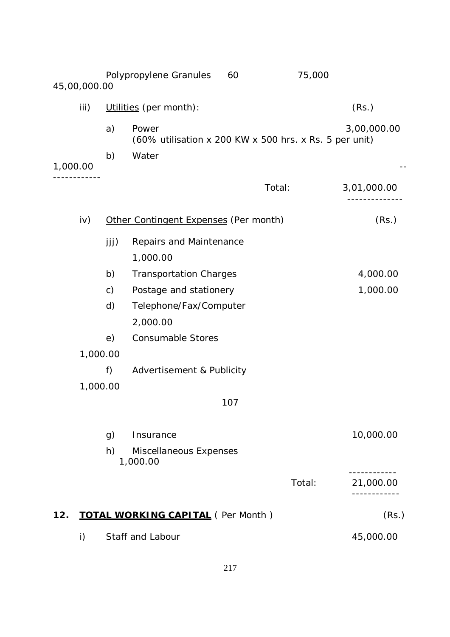|          | 45,00,000.00 |               | Polypropylene Granules<br>60                                    |        | 75,000 |             |
|----------|--------------|---------------|-----------------------------------------------------------------|--------|--------|-------------|
|          | iii)         |               | Utilities (per month):                                          |        |        | (Rs.)       |
|          |              | a)            | Power<br>(60% utilisation x 200 KW x 500 hrs. x Rs. 5 per unit) |        |        | 3,00,000.00 |
| 1,000.00 |              | b)            | Water                                                           |        |        |             |
|          |              |               |                                                                 | Total: |        | 3,01,000.00 |
|          | iv)          |               | Other Contingent Expenses (Per month)                           |        |        | (Rs.)       |
|          |              | jjj)          | Repairs and Maintenance<br>1,000.00                             |        |        |             |
|          |              | b)            | <b>Transportation Charges</b>                                   |        |        | 4,000.00    |
|          |              | $\mathsf{c})$ | Postage and stationery                                          |        |        | 1,000.00    |
|          |              | d)            | Telephone/Fax/Computer                                          |        |        |             |
|          |              |               | 2,000.00                                                        |        |        |             |
|          |              | e)            | <b>Consumable Stores</b>                                        |        |        |             |
|          | 1,000.00     |               |                                                                 |        |        |             |
|          |              | f)            | Advertisement & Publicity                                       |        |        |             |
|          | 1,000.00     |               |                                                                 |        |        |             |
|          |              |               | 107                                                             |        |        |             |
|          |              | g)            | Insurance                                                       |        |        | 10,000.00   |
|          |              | h)            | Miscellaneous Expenses<br>1,000.00                              |        |        |             |
|          |              |               |                                                                 |        | Total: | 21,000.00   |
| 12.      |              |               | <b>TOTAL WORKING CAPITAL (Per Month)</b>                        |        |        | (Rs.)       |
|          | $\mathsf{i}$ |               | Staff and Labour                                                |        |        | 45,000.00   |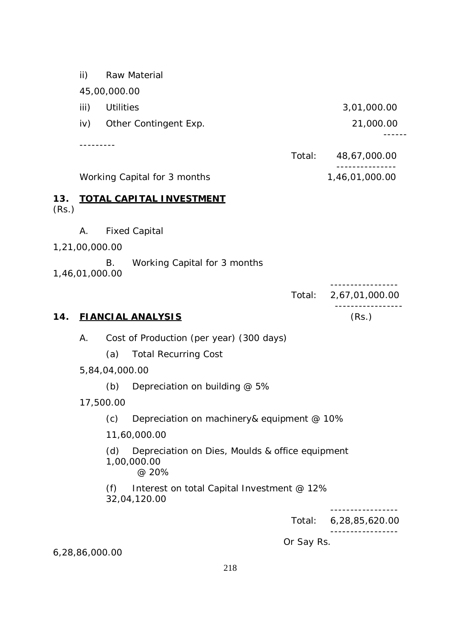ii) Raw Material 45,00,000.00 iii) Utilities 3,01,000.00 iv) Other Contingent Exp. 21,000.00 ------ --------- Total: 48,67,000.00 --------------- Working Capital for 3 months 1,46,01,000.00 **13. TOTAL CAPITAL INVESTMENT** (Rs.) A. Fixed Capital 1,21,00,000.00 B. Working Capital for 3 months 1,46,01,000.00 ----------------- Total: 2,67,01,000.00 ----------------- **14. FIANCIAL ANALYSIS** (Rs.) A. Cost of Production (per year) (300 days) (a) Total Recurring Cost 5,84,04,000.00 (b) Depreciation on building @ 5% 17,500.00 (c) Depreciation on machinery& equipment @ 10% 11,60,000.00 (d) Depreciation on Dies, Moulds & office equipment 1,00,000.00 @ 20% (f) Interest on total Capital Investment @ 12% 32,04,120.00 -----------------

Total: 6,28,85,620.00

-----------------

Or Say Rs.

6,28,86,000.00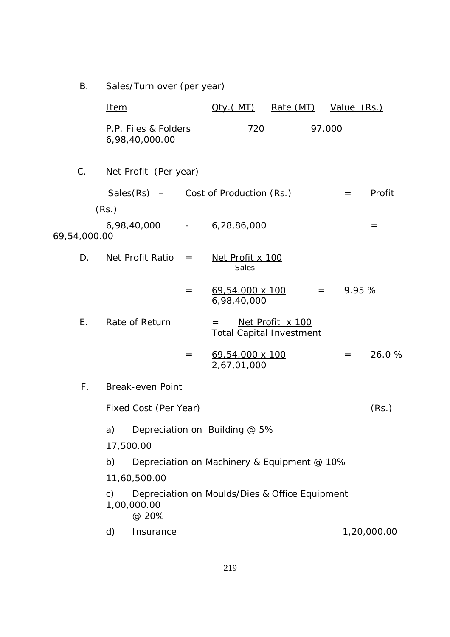B. Sales/Turn over (per year)

|              | <u>Item</u>    |                                        |     | <u> Oty (MT)</u>                               | Rate (MT)        |         | Value (Rs.) |             |
|--------------|----------------|----------------------------------------|-----|------------------------------------------------|------------------|---------|-------------|-------------|
|              |                | P.P. Files & Folders<br>6,98,40,000.00 |     | 720                                            |                  | 97,000  |             |             |
| C.           |                | Net Profit (Per year)                  |     |                                                |                  |         |             |             |
|              | (Rs.)          |                                        |     | Sales $(Rs)$ – Cost of Production $(Rs.)$      |                  |         | $=$         | Profit      |
| 69,54,000.00 |                |                                        |     | 6,98,40,000 - 6,28,86,000                      |                  |         |             | $=$         |
| D.           |                | Net Profit Ratio                       | $=$ | Net Profit x 100<br>Sales                      |                  |         |             |             |
|              |                |                                        | $=$ | 69,54.000 x 100<br>6,98,40,000                 |                  | $=$ $-$ | 9.95 %      |             |
| Ε.           |                | Rate of Return                         |     | $=$<br><b>Total Capital Investment</b>         | Net Profit x 100 |         |             |             |
|              |                |                                        | $=$ | 69,54,000 x 100<br>2,67,01,000                 |                  |         | $=$         | 26.0%       |
| $F_{\perp}$  |                | <b>Break-even Point</b>                |     |                                                |                  |         |             |             |
|              |                | Fixed Cost (Per Year)                  |     |                                                |                  |         |             | (Rs.)       |
|              | a)             |                                        |     | Depreciation on Building @ 5%                  |                  |         |             |             |
|              | 17,500.00      |                                        |     |                                                |                  |         |             |             |
|              | b)             |                                        |     | Depreciation on Machinery & Equipment @ 10%    |                  |         |             |             |
|              |                | 11,60,500.00                           |     |                                                |                  |         |             |             |
|              | $\mathsf{C}$ ) | 1,00,000.00<br>@ 20%                   |     | Depreciation on Moulds/Dies & Office Equipment |                  |         |             |             |
|              | d)             | Insurance                              |     |                                                |                  |         |             | 1,20,000.00 |
|              |                |                                        |     |                                                |                  |         |             |             |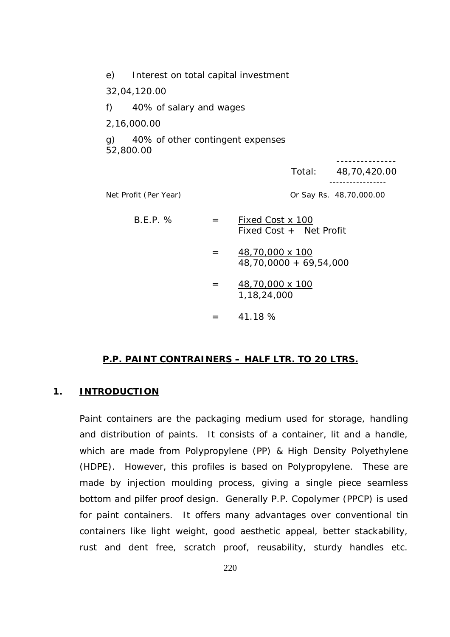|                | e) Interest on total capital investment       |         |                                             |        |                         |
|----------------|-----------------------------------------------|---------|---------------------------------------------|--------|-------------------------|
|                | 32,04,120.00                                  |         |                                             |        |                         |
| f)             | 40% of salary and wages                       |         |                                             |        |                         |
|                | 2,16,000.00                                   |         |                                             |        |                         |
| $\mathfrak{g}$ | 40% of other contingent expenses<br>52,800.00 |         |                                             |        |                         |
|                |                                               |         |                                             | Total: | 48,70,420.00            |
|                | Net Profit (Per Year)                         |         |                                             |        | Or Say Rs. 48,70,000.00 |
|                | $B.E.P.$ %                                    | $=$ $-$ | Fixed Cost x 100<br>Fixed Cost + Net Profit |        |                         |
|                |                                               | $=$ $-$ | 48,70,000 x 100<br>48,70,0000 + 69,54,000   |        |                         |
|                |                                               | $=$ $-$ | 48,70,000 x 100<br>1, 18, 24, 000           |        |                         |
|                |                                               | $=$     | 41.18 %                                     |        |                         |

#### **P.P. PAINT CONTRAINERS – HALF LTR. TO 20 LTRS.**

#### **1. INTRODUCTION**

Paint containers are the packaging medium used for storage, handling and distribution of paints. It consists of a container, lit and a handle, which are made from Polypropylene (PP) & High Density Polyethylene (HDPE). However, this profiles is based on Polypropylene. These are made by injection moulding process, giving a single piece seamless bottom and pilfer proof design. Generally P.P. Copolymer (PPCP) is used for paint containers. It offers many advantages over conventional tin containers like light weight, good aesthetic appeal, better stackability, rust and dent free, scratch proof, reusability, sturdy handles etc.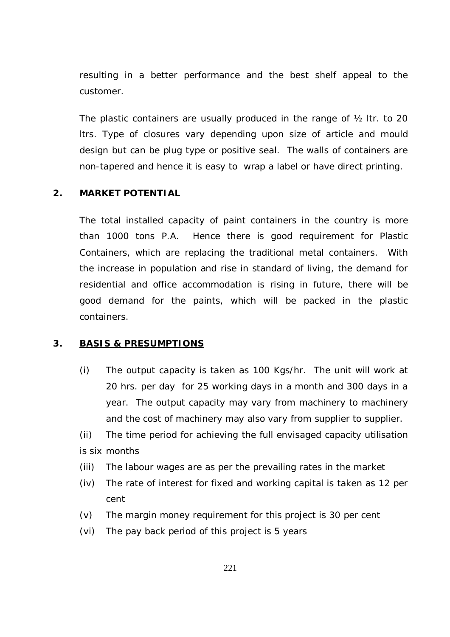resulting in a better performance and the best shelf appeal to the customer.

The plastic containers are usually produced in the range of ½ ltr. to 20 ltrs. Type of closures vary depending upon size of article and mould design but can be plug type or positive seal. The walls of containers are non-tapered and hence it is easy to wrap a label or have direct printing.

### **2. MARKET POTENTIAL**

The total installed capacity of paint containers in the country is more than 1000 tons P.A. Hence there is good requirement for Plastic Containers, which are replacing the traditional metal containers. With the increase in population and rise in standard of living, the demand for residential and office accommodation is rising in future, there will be good demand for the paints, which will be packed in the plastic containers.

#### **3. BASIS & PRESUMPTIONS**

- (i) The output capacity is taken as 100 Kgs/hr. The unit will work at 20 hrs. per day for 25 working days in a month and 300 days in a year. The output capacity may vary from machinery to machinery and the cost of machinery may also vary from supplier to supplier.
- (ii) The time period for achieving the full envisaged capacity utilisation is six months
- (iii) The labour wages are as per the prevailing rates in the market
- (iv) The rate of interest for fixed and working capital is taken as 12 per cent
- (v) The margin money requirement for this project is 30 per cent
- (vi) The pay back period of this project is 5 years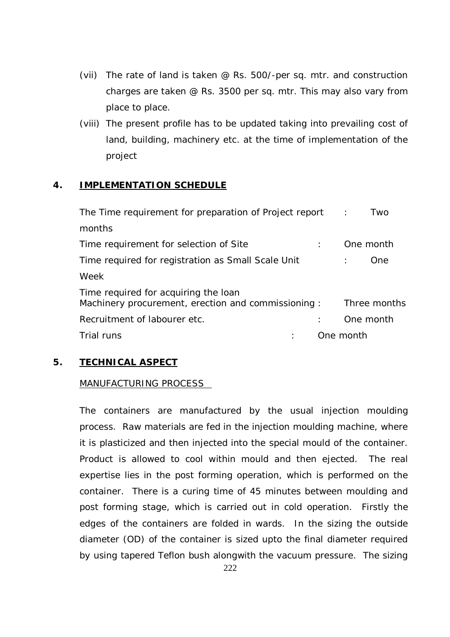- (vii) The rate of land is taken @ Rs. 500/-per sq. mtr. and construction charges are taken @ Rs. 3500 per sq. mtr. This may also vary from place to place.
- (viii) The present profile has to be updated taking into prevailing cost of land, building, machinery etc. at the time of implementation of the project

## **4. IMPLEMENTATION SCHEDULE**

| The Time requirement for preparation of Project report :                                   | Two          |
|--------------------------------------------------------------------------------------------|--------------|
| months                                                                                     |              |
| Time requirement for selection of Site                                                     | One month    |
| Time required for registration as Small Scale Unit                                         | One          |
| Week                                                                                       |              |
| Time required for acquiring the loan<br>Machinery procurement, erection and commissioning: | Three months |
| Recruitment of labourer etc.                                                               | One month    |
| Trial runs                                                                                 | One month    |

## **5. TECHNICAL ASPECT**

## MANUFACTURING PROCESS

The containers are manufactured by the usual injection moulding process. Raw materials are fed in the injection moulding machine, where it is plasticized and then injected into the special mould of the container. Product is allowed to cool within mould and then ejected. The real expertise lies in the post forming operation, which is performed on the container. There is a curing time of 45 minutes between moulding and post forming stage, which is carried out in cold operation. Firstly the edges of the containers are folded in wards. In the sizing the outside diameter (OD) of the container is sized upto the final diameter required by using tapered Teflon bush alongwith the vacuum pressure. The sizing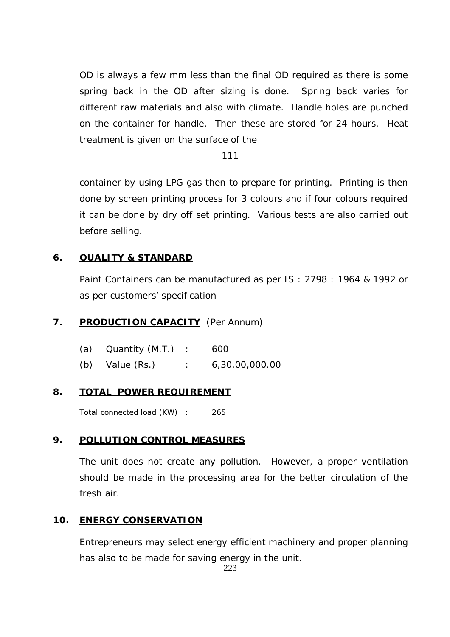OD is always a few mm less than the final OD required as there is some spring back in the OD after sizing is done. Spring back varies for different raw materials and also with climate. Handle holes are punched on the container for handle. Then these are stored for 24 hours. Heat treatment is given on the surface of the

111

container by using LPG gas then to prepare for printing. Printing is then done by screen printing process for 3 colours and if four colours required it can be done by dry off set printing. Various tests are also carried out before selling.

## **6. QUALITY & STANDARD**

Paint Containers can be manufactured as per IS : 2798 : 1964 & 1992 or as per customers' specification

## 7. **PRODUCTION CAPACITY** (Per Annum)

| (a) Quantity $(M.T.)$ : | 600            |
|-------------------------|----------------|
| $(b)$ Value $(Rs.)$     | 6,30,00,000.00 |

## **8. TOTAL POWER REQUIREMENT**

Total connected load (KW) : 265

## **9. POLLUTION CONTROL MEASURES**

The unit does not create any pollution. However, a proper ventilation should be made in the processing area for the better circulation of the fresh air.

## **10. ENERGY CONSERVATION**

Entrepreneurs may select energy efficient machinery and proper planning has also to be made for saving energy in the unit.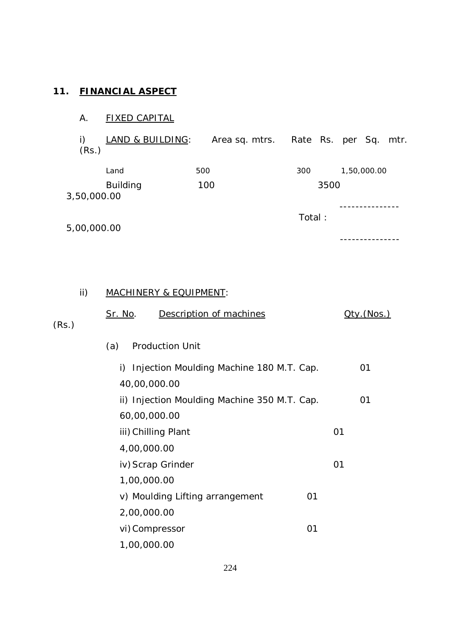## **11. FINANCIAL ASPECT**

# A. FIXED CAPITAL

i) LAND & BUILDING: Area sq. mtrs. Rate Rs. per Sq. mtr. (Rs.)

|             | Land     | 500 | 300  | 1,50,000.00 |
|-------------|----------|-----|------|-------------|
| 3,50,000.00 | Building | 100 | 3500 |             |
|             |          |     |      |             |

5,00,000.00

### ---------------

Total :

### ii) MACHINERY & EQUIPMENT:

|       | <u>Sr. No</u> .<br>Description of machines     | Qty.(Nos.) |
|-------|------------------------------------------------|------------|
| (Rs.) |                                                |            |
|       | <b>Production Unit</b><br>(a)                  |            |
|       | Injection Moulding Machine 180 M.T. Cap.<br>i) | 01         |
|       | 40,00,000.00                                   |            |
|       | ii) Injection Moulding Machine 350 M.T. Cap.   | 01         |
|       | 60,00,000.00                                   |            |
|       | iii) Chilling Plant                            | 01         |
|       | 4,00,000.00                                    |            |
|       | iv) Scrap Grinder                              | 01         |
|       | 1,00,000.00                                    |            |
|       | v) Moulding Lifting arrangement<br>01          |            |
|       | 2,00,000.00                                    |            |
|       | vi) Compressor<br>01                           |            |
|       | 1,00,000.00                                    |            |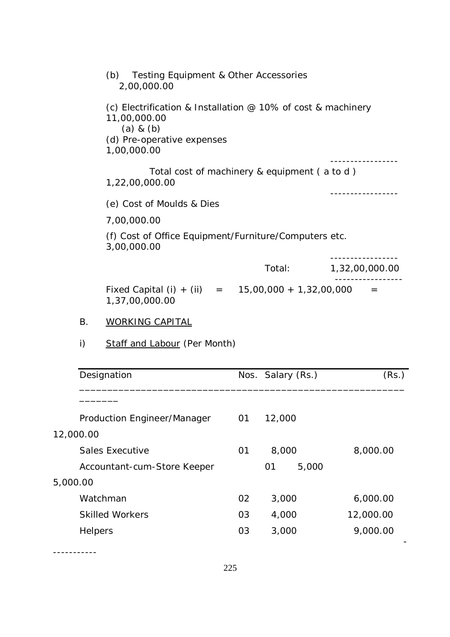| Testing Equipment & Other Accessories<br>(b)<br>2,00,000.00                                                                                            |        |                |
|--------------------------------------------------------------------------------------------------------------------------------------------------------|--------|----------------|
| (c) Electrification & Installation $\varnothing$ 10% of cost & machinery<br>11,00,000.00<br>$(a)$ & $(b)$<br>(d) Pre-operative expenses<br>1,00,000.00 |        |                |
| Total cost of machinery & equipment (a to d)<br>1,22,00,000.00                                                                                         |        |                |
| (e) Cost of Moulds & Dies                                                                                                                              |        |                |
| 7,00,000.00                                                                                                                                            |        |                |
| (f) Cost of Office Equipment/Furniture/Computers etc.<br>3,00,000.00                                                                                   |        |                |
|                                                                                                                                                        | Total: | 1,32,00,000.00 |
| Fixed Capital (i) + (ii) = $15,00,000 + 1,32,00,000$<br>1,37,00,000.00                                                                                 |        | $=$            |

# B. WORKING CAPITAL

i) Staff and Labour (Per Month)

| Designation                 |    | Nos. Salary (Rs.) | (Rs.)     |  |
|-----------------------------|----|-------------------|-----------|--|
|                             |    |                   |           |  |
| Production Engineer/Manager | 01 | 12,000            |           |  |
| 12,000.00                   |    |                   |           |  |
| Sales Executive             | 01 | 8,000             | 8,000.00  |  |
| Accountant-cum-Store Keeper |    | 5,000<br>01       |           |  |
| 5,000.00                    |    |                   |           |  |
| Watchman                    | 02 | 3,000             | 6,000.00  |  |
| <b>Skilled Workers</b>      | 03 | 4,000             | 12,000.00 |  |
| Helpers                     | 03 | 3,000             | 9,000.00  |  |
|                             |    |                   |           |  |

-----------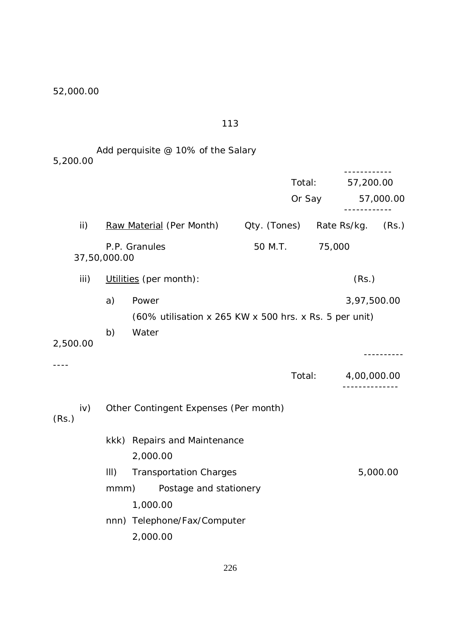52,000.00

113

## Add perquisite @ 10% of the Salary 5,200.00

|               |              |                                                                 |              | Total:<br>Or Say | 57,200.00                              | 57,000.00 |
|---------------|--------------|-----------------------------------------------------------------|--------------|------------------|----------------------------------------|-----------|
| $\mathsf{ii}$ |              | Raw Material (Per Month)                                        | Qty. (Tones) |                  | Rate Rs/kg. (Rs.)                      |           |
|               | 37,50,000.00 | P.P. Granules                                                   | 50 M.T.      | 75,000           |                                        |           |
| iii)          |              | Utilities (per month):                                          |              |                  | (Rs.)                                  |           |
|               | a)           | Power<br>(60% utilisation x 265 KW x 500 hrs. x Rs. 5 per unit) |              |                  | 3,97,500.00                            |           |
| 2,500.00      | b)           | Water                                                           |              |                  |                                        |           |
|               |              |                                                                 |              | Total:           | 4,00,000.00<br>- - - - - - - - - - - - |           |
| iv)<br>(Rs.)  |              | Other Contingent Expenses (Per month)                           |              |                  |                                        |           |
|               |              | kkk) Repairs and Maintenance<br>2,000.00                        |              |                  |                                        |           |
|               | III)         | <b>Transportation Charges</b>                                   |              |                  |                                        | 5,000.00  |
|               | mmm)         | Postage and stationery<br>1,000.00                              |              |                  |                                        |           |
|               |              | nnn) Telephone/Fax/Computer<br>2,000.00                         |              |                  |                                        |           |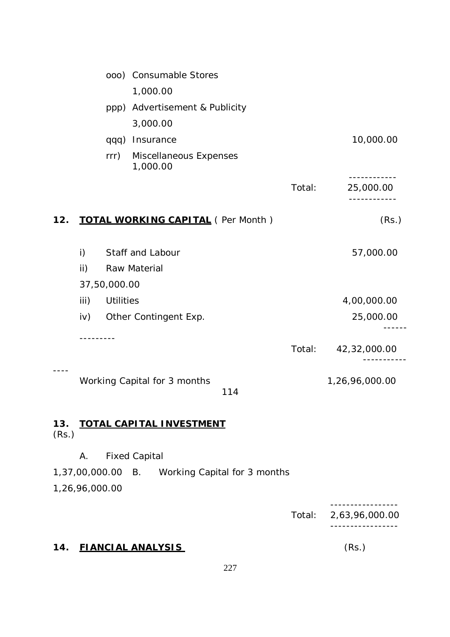|              |                |                  | 000) Consumable Stores                    |        |                |
|--------------|----------------|------------------|-------------------------------------------|--------|----------------|
|              |                |                  | 1,000.00                                  |        |                |
|              |                |                  | ppp) Advertisement & Publicity            |        |                |
|              |                |                  | 3,000.00                                  |        |                |
|              |                | qqq)             | Insurance                                 |        | 10,000.00      |
|              |                | rrr)             | Miscellaneous Expenses<br>1,000.00        |        |                |
|              |                |                  |                                           | Total: | 25,000.00      |
| 12.          |                |                  | <b>TOTAL WORKING CAPITAL</b> (Per Month)  |        | (Rs.)          |
|              | i)             |                  | Staff and Labour                          |        | 57,000.00      |
|              | ii)            |                  | Raw Material                              |        |                |
|              |                | 37,50,000.00     |                                           |        |                |
|              | iii)           | <b>Utilities</b> |                                           |        | 4,00,000.00    |
|              | iv)            |                  | Other Contingent Exp.                     |        | 25,000.00      |
|              |                |                  |                                           |        |                |
|              |                |                  |                                           | Total: | 42,32,000.00   |
|              |                |                  | Working Capital for 3 months<br>114       |        | 1,26,96,000.00 |
| 13.<br>(Rs.) |                |                  | <b>TOTAL CAPITAL INVESTMENT</b>           |        |                |
|              | Α.             |                  | <b>Fixed Capital</b>                      |        |                |
|              | 1,37,00,000.00 |                  | Working Capital for 3 months<br><b>B.</b> |        |                |
|              | 1,26,96,000.00 |                  |                                           |        |                |
|              |                |                  |                                           |        |                |
|              |                |                  |                                           | Total: | 2,63,96,000.00 |
|              |                |                  |                                           |        |                |

## **14. FIANCIAL ANALYSIS** (Rs.)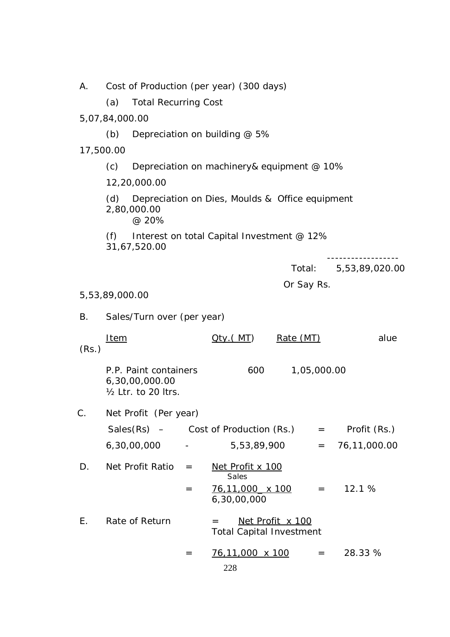A. Cost of Production (per year) (300 days)

(a) Total Recurring Cost

5,07,84,000.00

(b) Depreciation on building @ 5%

17,500.00

(c) Depreciation on machinery& equipment @ 10%

12,20,000.00

(d) Depreciation on Dies, Moulds & Office equipment 2,80,000.00 @ 20%

(f) Interest on total Capital Investment  $@12\%$ 31,67,520.00

------------------

Total: 5,53,89,020.00

Or Say Rs.

#### 5,53,89,000.00

B. Sales/Turn over (per year)

|       | Item                                                                      | MT) | Rate (MT)   | alue |
|-------|---------------------------------------------------------------------------|-----|-------------|------|
| (Rs.) |                                                                           |     |             |      |
|       | P.P. Paint containers<br>6,30,00,000.00<br>$\frac{1}{2}$ Ltr. to 20 ltrs. | 600 | 1,05,000.00 |      |

C. Net Profit (Per year)

| $Sales(Rs) -$ |                          | Cost of Production (Rs.) | $=$ | Profit (Rs.)     |
|---------------|--------------------------|--------------------------|-----|------------------|
| 6,30,00,000   | $\overline{\phantom{0}}$ | 5,53,89,900              |     | $= 76,11,000.00$ |

| $\Box$ | Net Profit Ratio    = |     | Net Profit x 100 |           |
|--------|-----------------------|-----|------------------|-----------|
|        |                       |     | <b>Sales</b>     |           |
|        |                       | $=$ | 76,11,000 x 100  | $=$ 12.1% |
|        |                       |     | 6,30,00,000      |           |

E. Rate of Return  $=$  Net Profit  $x$  100 Total Capital Investment

$$
= \frac{76,11,000 \times 100}{228} = 28.33 \%
$$